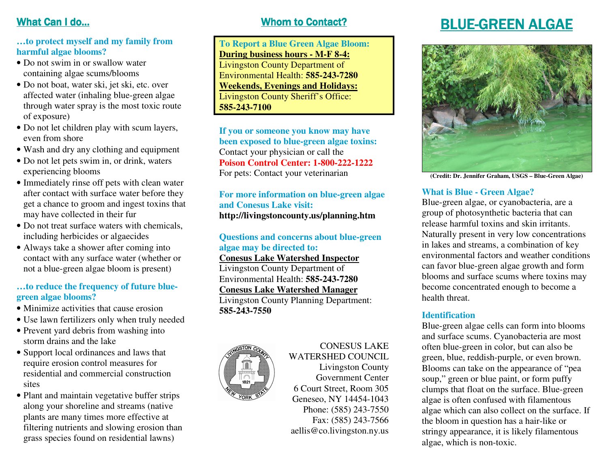# What Can I do…

## **…to protect myself and my family from harmful algae blooms?**

- Do not swim in or swallow water containing algae scums/blooms
- Do not boat, water ski, jet ski, etc. over affected water (inhaling blue-green algae through water spray is the most toxic route of exposure)
- Do not let children play with scum layers, even from shore
- Wash and dry any clothing and equipment
- Do not let pets swim in, or drink, waters experiencing blooms
- Immediately rinse off pets with clean water after contact with surface water before they get a chance to groom and ingest toxins that may have collected in their fur
- Do not treat surface waters with chemicals, including herbicides or algaecides
- Always take a shower after coming into contact with any surface water (whether or not a blue-green algae bloom is present)

## **…to reduce the frequency of future bluegreen algae blooms?**

- Minimize activities that cause erosion
- Use lawn fertilizers only when truly needed
- Prevent yard debris from washing into storm drains and the lake
- Support local ordinances and laws that require erosion control measures for residential and commercial construction sites
- Plant and maintain vegetative buffer strips along your shoreline and streams (native plants are many times more effective at filtering nutrients and slowing erosion than grass species found on residential lawns)

# Whom to Contact?

**To Report a Blue Green Algae Bloom: During business hours - M-F 8-4:** Livingston County Department of Environmental Health: **585-243-7280 Weekends, Evenings and Holidays:** Livingston County Sheriff's Office: **585-243-7100** 

**If you or someone you know may have been exposed to blue-green algae toxins:** Contact your physician or call the **Poison Control Center: 1-800-222-1222** For pets: Contact your veterinarian

**For more information on blue-green algae and Conesus Lake visit: http://livingstoncounty.us/planning.htm** 

### **Questions and concerns about blue-green algae may be directed to:**

#### **Conesus Lake Watershed Inspector**

Livingston County Department of Environmental Health: **585-243-7280**

**Conesus Lake Watershed Manager**

 Livingston County Planning Department: **585-243-7550** 



#### CONESUS LAKE WATERSHED COUNCIL

 Livingston County Government Center 6 Court Street, Room 305 Geneseo, NY 14454-1043 Phone: (585) 243-7550 Fax: (585) 243-7566 aellis@co.livingston.ny.us

# **BLUE-GREEN ALGAE**



**(Credit: Dr. Jennifer Graham, USGS – Blue-Green Algae)** 

## **What is Blue - Green Algae?**

Blue-green algae, or cyanobacteria, are a group of photosynthetic bacteria that can release harmful toxins and skin irritants. Naturally present in very low concentrations in lakes and streams, a combination of key environmental factors and weather conditions can favor blue-green algae growth and form blooms and surface scums where toxins may become concentrated enough to become a health threat.

#### **Identification**

 Blue-green algae cells can form into blooms and surface scums. Cyanobacteria are most often blue-green in color, but can also be green, blue, reddish-purple, or even brown. Blooms can take on the appearance of "pea soup," green or blue paint, or form puffy clumps that float on the surface. Blue-green algae is often confused with filamentous algae which can also collect on the surface. If the bloom in question has a hair-like or stringy appearance, it is likely filamentous algae, which is non-toxic.